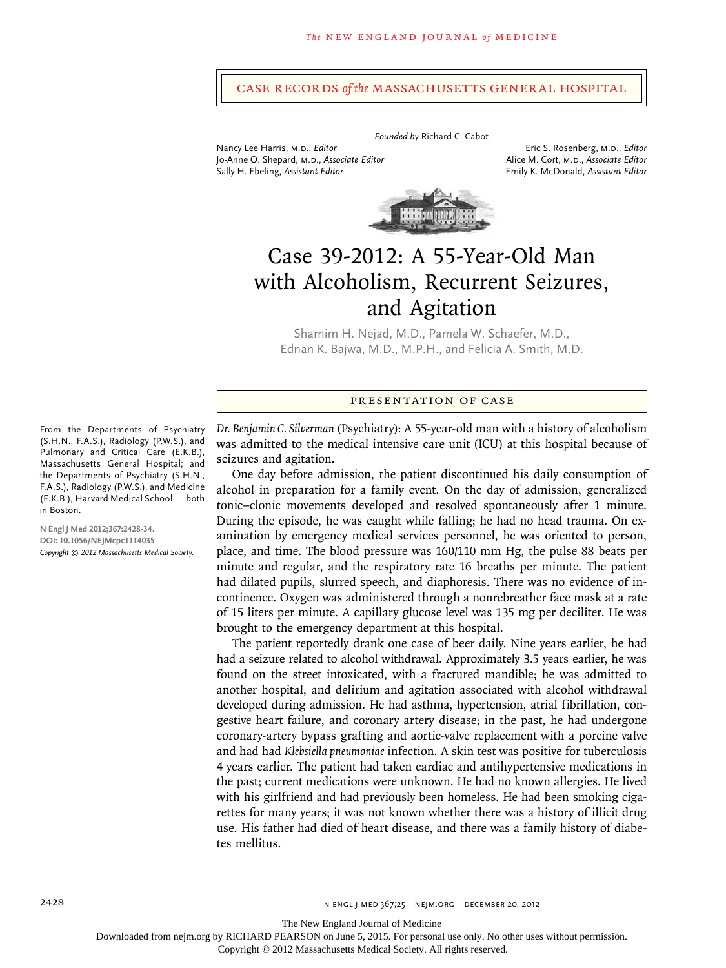## case records *of the* massachusetts general hospital

*Founded by* Richard C. Cabot

Nancy Lee Harris, M.D., *Editor* **Example 20 and Server And Arrival Control** Eric S. Rosenberg, M.D., *Editor* Jo-Anne O. Shepard, m.d., *Associate Editor* Alice M. Cort, m.d., *Associate Editor* Sally H. Ebeling, *Assistant Editor* Emily K. McDonald, *Assistant Editor*



# Case 39-2012: A 55-Year-Old Man with Alcoholism, Recurrent Seizures, and Agitation

Shamim H. Nejad, M.D., Pamela W. Schaefer, M.D., Ednan K. Bajwa, M.D., M.P.H., and Felicia A. Smith, M.D.

#### PRESENTATION OF CASE

*Dr. Benjamin C. Silverman* (Psychiatry): A 55-year-old man with a history of alcoholism was admitted to the medical intensive care unit (ICU) at this hospital because of seizures and agitation.

One day before admission, the patient discontinued his daily consumption of alcohol in preparation for a family event. On the day of admission, generalized tonic–clonic movements developed and resolved spontaneously after 1 minute. During the episode, he was caught while falling; he had no head trauma. On examination by emergency medical services personnel, he was oriented to person, place, and time. The blood pressure was 160/110 mm Hg, the pulse 88 beats per minute and regular, and the respiratory rate 16 breaths per minute. The patient had dilated pupils, slurred speech, and diaphoresis. There was no evidence of incontinence. Oxygen was administered through a nonrebreather face mask at a rate of 15 liters per minute. A capillary glucose level was 135 mg per deciliter. He was brought to the emergency department at this hospital.

The patient reportedly drank one case of beer daily. Nine years earlier, he had had a seizure related to alcohol withdrawal. Approximately 3.5 years earlier, he was found on the street intoxicated, with a fractured mandible; he was admitted to another hospital, and delirium and agitation associated with alcohol withdrawal developed during admission. He had asthma, hypertension, atrial fibrillation, congestive heart failure, and coronary artery disease; in the past, he had undergone coronary-artery bypass grafting and aortic-valve replacement with a porcine valve and had had *Klebsiella pneumoniae* infection. A skin test was positive for tuberculosis 4 years earlier. The patient had taken cardiac and antihypertensive medications in the past; current medications were unknown. He had no known allergies. He lived with his girlfriend and had previously been homeless. He had been smoking cigarettes for many years; it was not known whether there was a history of illicit drug use. His father had died of heart disease, and there was a family history of diabetes mellitus.

From the Departments of Psychiatry (S.H.N., F.A.S.), Radiology (P.W.S.), and Pulmonary and Critical Care (E.K.B.), Massachusetts General Hospital; and the Departments of Psychiatry (S.H.N., F.A.S.), Radiology (P.W.S.), and Medicine (E.K.B.), Harvard Medical School — both in Boston.

**N Engl J Med 2012;367:2428-34. DOI: 10.1056/NEJMcpc1114035** *Copyright © 2012 Massachusetts Medical Society.*

2428 **n EU and 367;25** n engl j med 367;25 nejm.org december 20, 2012

The New England Journal of Medicine

Downloaded from nejm.org by RICHARD PEARSON on June 5, 2015. For personal use only. No other uses without permission.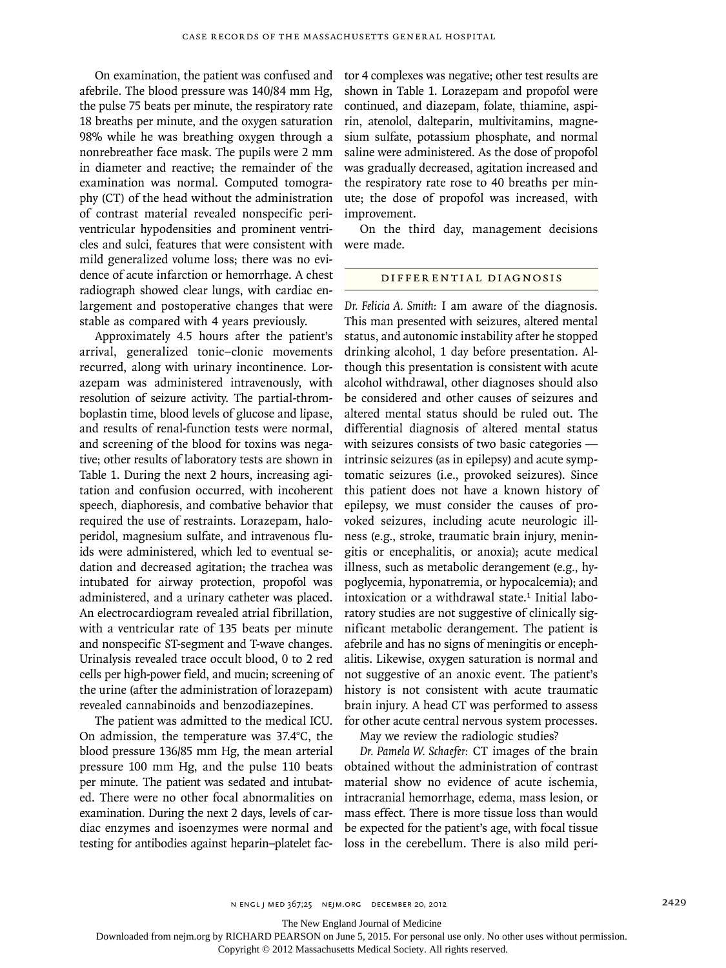On examination, the patient was confused and afebrile. The blood pressure was 140/84 mm Hg, the pulse 75 beats per minute, the respiratory rate 18 breaths per minute, and the oxygen saturation 98% while he was breathing oxygen through a nonrebreather face mask. The pupils were 2 mm in diameter and reactive; the remainder of the examination was normal. Computed tomography (CT) of the head without the administration of contrast material revealed nonspecific periventricular hypodensities and prominent ventricles and sulci, features that were consistent with mild generalized volume loss; there was no evidence of acute infarction or hemorrhage. A chest radiograph showed clear lungs, with cardiac enlargement and postoperative changes that were stable as compared with 4 years previously.

Approximately 4.5 hours after the patient's arrival, generalized tonic–clonic movements recurred, along with urinary incontinence. Lorazepam was administered intravenously, with resolution of seizure activity. The partial-thromboplastin time, blood levels of glucose and lipase, and results of renal-function tests were normal, and screening of the blood for toxins was negative; other results of laboratory tests are shown in Table 1. During the next 2 hours, increasing agitation and confusion occurred, with incoherent speech, diaphoresis, and combative behavior that required the use of restraints. Lorazepam, haloperidol, magnesium sulfate, and intravenous fluids were administered, which led to eventual sedation and decreased agitation; the trachea was intubated for airway protection, propofol was administered, and a urinary catheter was placed. An electrocardiogram revealed atrial fibrillation, with a ventricular rate of 135 beats per minute and nonspecific ST-segment and T-wave changes. Urinalysis revealed trace occult blood, 0 to 2 red cells per high-power field, and mucin; screening of the urine (after the administration of lorazepam) revealed cannabinoids and benzodiazepines.

The patient was admitted to the medical ICU. On admission, the temperature was 37.4°C, the blood pressure 136/85 mm Hg, the mean arterial pressure 100 mm Hg, and the pulse 110 beats per minute. The patient was sedated and intubated. There were no other focal abnormalities on examination. During the next 2 days, levels of cardiac enzymes and isoenzymes were normal and testing for antibodies against heparin–platelet factor 4 complexes was negative; other test results are shown in Table 1. Lorazepam and propofol were continued, and diazepam, folate, thiamine, aspirin, atenolol, dalteparin, multivitamins, magnesium sulfate, potassium phosphate, and normal saline were administered. As the dose of propofol was gradually decreased, agitation increased and the respiratory rate rose to 40 breaths per minute; the dose of propofol was increased, with improvement.

On the third day, management decisions were made.

#### DIFFER ENTIAL DIAGNOSIS

*Dr. Felicia A. Smith:* I am aware of the diagnosis. This man presented with seizures, altered mental status, and autonomic instability after he stopped drinking alcohol, 1 day before presentation. Although this presentation is consistent with acute alcohol withdrawal, other diagnoses should also be considered and other causes of seizures and altered mental status should be ruled out. The differential diagnosis of altered mental status with seizures consists of two basic categories intrinsic seizures (as in epilepsy) and acute symptomatic seizures (i.e., provoked seizures). Since this patient does not have a known history of epilepsy, we must consider the causes of provoked seizures, including acute neurologic illness (e.g., stroke, traumatic brain injury, meningitis or encephalitis, or anoxia); acute medical illness, such as metabolic derangement (e.g., hypoglycemia, hyponatremia, or hypocalcemia); and intoxication or a withdrawal state.<sup>1</sup> Initial laboratory studies are not suggestive of clinically significant metabolic derangement. The patient is afebrile and has no signs of meningitis or encephalitis. Likewise, oxygen saturation is normal and not suggestive of an anoxic event. The patient's history is not consistent with acute traumatic brain injury. A head CT was performed to assess for other acute central nervous system processes. May we review the radiologic studies?

*Dr. Pamela W. Schaefer:* CT images of the brain obtained without the administration of contrast material show no evidence of acute ischemia, intracranial hemorrhage, edema, mass lesion, or mass effect. There is more tissue loss than would be expected for the patient's age, with focal tissue loss in the cerebellum. There is also mild peri-

The New England Journal of Medicine

Downloaded from nejm.org by RICHARD PEARSON on June 5, 2015. For personal use only. No other uses without permission.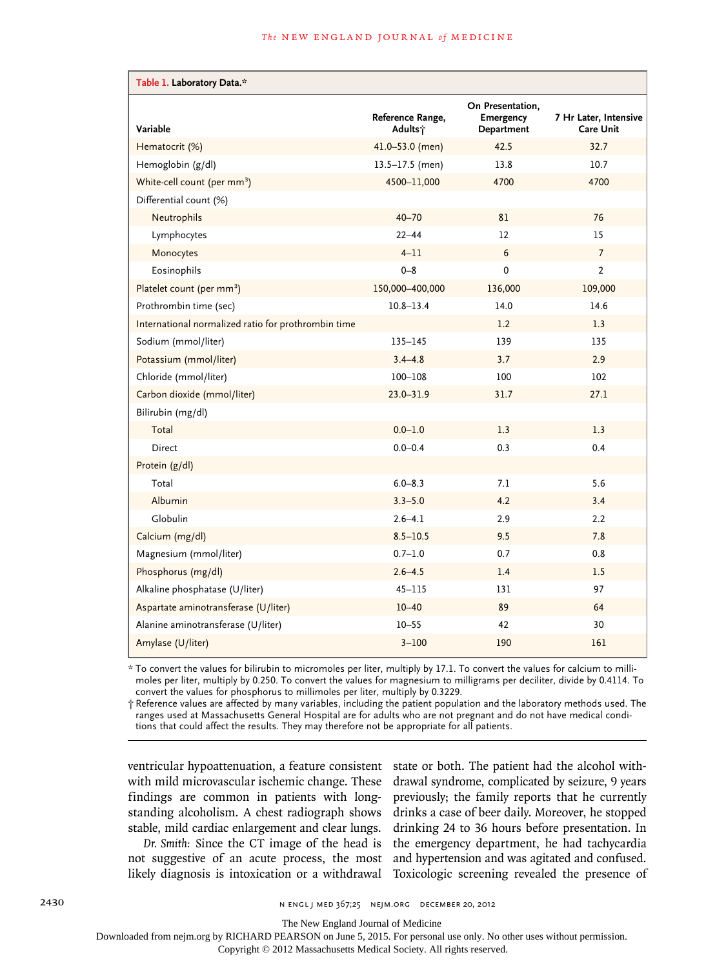| Table 1. Laboratory Data.*                          |                              |                                                    |                                           |
|-----------------------------------------------------|------------------------------|----------------------------------------------------|-------------------------------------------|
| Variable                                            | Reference Range,<br>Adults † | On Presentation,<br><b>Emergency</b><br>Department | 7 Hr Later, Intensive<br><b>Care Unit</b> |
| Hematocrit (%)                                      | 41.0-53.0 (men)              | 42.5                                               | 32.7                                      |
| Hemoglobin (g/dl)                                   | $13.5 - 17.5$ (men)          | 13.8                                               | 10.7                                      |
| White-cell count (per mm <sup>3</sup> )             | 4500-11,000                  | 4700                                               | 4700                                      |
| Differential count (%)                              |                              |                                                    |                                           |
| Neutrophils                                         | $40 - 70$                    | 81                                                 | 76                                        |
| Lymphocytes                                         | $22 - 44$                    | 12                                                 | 15                                        |
| Monocytes                                           | $4 - 11$                     | 6                                                  | 7                                         |
| Eosinophils                                         | $0 - 8$                      | 0                                                  | $\overline{2}$                            |
| Platelet count (per mm <sup>3</sup> )               | 150,000-400,000              | 136,000                                            | 109,000                                   |
| Prothrombin time (sec)                              | $10.8 - 13.4$                | 14.0                                               | 14.6                                      |
| International normalized ratio for prothrombin time |                              | 1.2                                                | 1.3                                       |
| Sodium (mmol/liter)                                 | $135 - 145$                  | 139                                                | 135                                       |
| Potassium (mmol/liter)                              | $3.4 - 4.8$                  | 3.7                                                | 2.9                                       |
| Chloride (mmol/liter)                               | 100-108                      | 100                                                | 102                                       |
| Carbon dioxide (mmol/liter)                         | $23.0 - 31.9$                | 31.7                                               | 27.1                                      |
| Bilirubin (mg/dl)                                   |                              |                                                    |                                           |
| Total                                               | $0.0 - 1.0$                  | 1.3                                                | 1.3                                       |
| Direct                                              | $0.0 - 0.4$                  | 0.3                                                | 0.4                                       |
| Protein (g/dl)                                      |                              |                                                    |                                           |
| Total                                               | $6.0 - 8.3$                  | 7.1                                                | 5.6                                       |
| Albumin                                             | $3.3 - 5.0$                  | 4.2                                                | 3.4                                       |
| Globulin                                            | $2.6 - 4.1$                  | 2.9                                                | 2.2                                       |
| Calcium (mg/dl)                                     | $8.5 - 10.5$                 | 9.5                                                | 7.8                                       |
| Magnesium (mmol/liter)                              | $0.7 - 1.0$                  | 0.7                                                | 0.8                                       |
| Phosphorus (mg/dl)                                  | $2.6 - 4.5$                  | 1.4                                                | 1.5                                       |
| Alkaline phosphatase (U/liter)                      | $45 - 115$                   | 131                                                | 97                                        |
| Aspartate aminotransferase (U/liter)                | $10 - 40$                    | 89                                                 | 64                                        |
| Alanine aminotransferase (U/liter)                  | $10 - 55$                    | 42                                                 | 30                                        |
| Amylase (U/liter)                                   | $3 - 100$                    | 190                                                | 161                                       |

\* To convert the values for bilirubin to micromoles per liter, multiply by 17.1. To convert the values for calcium to millimoles per liter, multiply by 0.250. To convert the values for magnesium to milligrams per deciliter, divide by 0.4114. To convert the values for phosphorus to millimoles per liter, multiply by 0.3229.

† Reference values are affected by many variables, including the patient population and the laboratory methods used. The ranges used at Massachusetts General Hospital are for adults who are not pregnant and do not have medical conditions that could affect the results. They may therefore not be appropriate for all patients.

ventricular hypoattenuation, a feature consistent state or both. The patient had the alcohol withwith mild microvascular ischemic change. These findings are common in patients with longstanding alcoholism. A chest radiograph shows stable, mild cardiac enlargement and clear lungs.

*Dr. Smith:* Since the CT image of the head is not suggestive of an acute process, the most likely diagnosis is intoxication or a withdrawal

drawal syndrome, complicated by seizure, 9 years previously; the family reports that he currently drinks a case of beer daily. Moreover, he stopped drinking 24 to 36 hours before presentation. In the emergency department, he had tachycardia and hypertension and was agitated and confused. Toxicologic screening revealed the presence of

The New England Journal of Medicine

Downloaded from nejm.org by RICHARD PEARSON on June 5, 2015. For personal use only. No other uses without permission.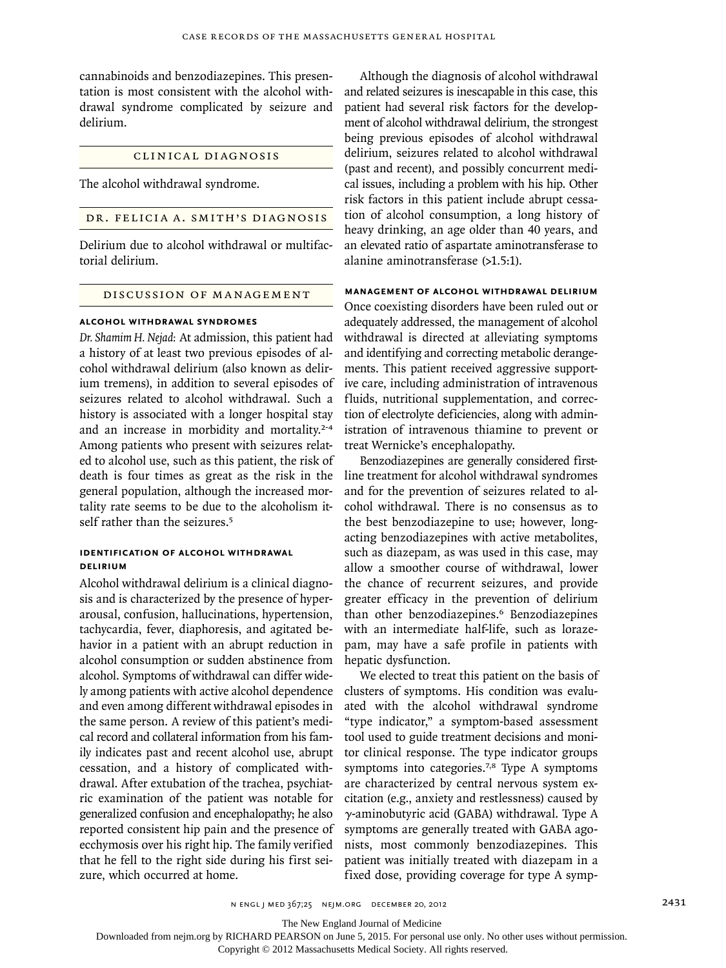cannabinoids and benzodiazepines. This presentation is most consistent with the alcohol withdrawal syndrome complicated by seizure and delirium.

### CLINICAL DIAGNOSIS

The alcohol withdrawal syndrome.

### DR. FELICIA A. SMITH'S DIAGNOSIS

Delirium due to alcohol withdrawal or multifactorial delirium.

#### DISCUSSION OF MANAGEMENT

#### **Alcohol Withdrawal Syndromes**

*Dr. Shamim H. Nejad:* At admission, this patient had a history of at least two previous episodes of alcohol withdrawal delirium (also known as delirium tremens), in addition to several episodes of seizures related to alcohol withdrawal. Such a history is associated with a longer hospital stay and an increase in morbidity and mortality.2-4 Among patients who present with seizures related to alcohol use, such as this patient, the risk of death is four times as great as the risk in the general population, although the increased mortality rate seems to be due to the alcoholism itself rather than the seizures.<sup>5</sup>

#### **Identification of Alcohol Withdrawal Delirium**

Alcohol withdrawal delirium is a clinical diagnosis and is characterized by the presence of hyperarousal, confusion, hallucinations, hypertension, tachycardia, fever, diaphoresis, and agitated behavior in a patient with an abrupt reduction in alcohol consumption or sudden abstinence from alcohol. Symptoms of withdrawal can differ widely among patients with active alcohol dependence and even among different withdrawal episodes in the same person. A review of this patient's medical record and collateral information from his family indicates past and recent alcohol use, abrupt cessation, and a history of complicated withdrawal. After extubation of the trachea, psychiatric examination of the patient was notable for generalized confusion and encephalopathy; he also reported consistent hip pain and the presence of ecchymosis over his right hip. The family verified that he fell to the right side during his first seizure, which occurred at home.

Although the diagnosis of alcohol withdrawal and related seizures is inescapable in this case, this patient had several risk factors for the development of alcohol withdrawal delirium, the strongest being previous episodes of alcohol withdrawal delirium, seizures related to alcohol withdrawal (past and recent), and possibly concurrent medical issues, including a problem with his hip. Other risk factors in this patient include abrupt cessation of alcohol consumption, a long history of heavy drinking, an age older than 40 years, and an elevated ratio of aspartate aminotransferase to alanine aminotransferase (>1.5:1).

## **Management of Alcohol Withdrawal Delirium** Once coexisting disorders have been ruled out or adequately addressed, the management of alcohol withdrawal is directed at alleviating symptoms and identifying and correcting metabolic derangements. This patient received aggressive supportive care, including administration of intravenous fluids, nutritional supplementation, and correction of electrolyte deficiencies, along with administration of intravenous thiamine to prevent or treat Wernicke's encephalopathy.

Benzodiazepines are generally considered firstline treatment for alcohol withdrawal syndromes and for the prevention of seizures related to alcohol withdrawal. There is no consensus as to the best benzodiazepine to use; however, longacting benzodiazepines with active metabolites, such as diazepam, as was used in this case, may allow a smoother course of withdrawal, lower the chance of recurrent seizures, and provide greater efficacy in the prevention of delirium than other benzodiazepines.<sup>6</sup> Benzodiazepines with an intermediate half-life, such as lorazepam, may have a safe profile in patients with hepatic dysfunction.

We elected to treat this patient on the basis of clusters of symptoms. His condition was evaluated with the alcohol withdrawal syndrome "type indicator," a symptom-based assessment tool used to guide treatment decisions and monitor clinical response. The type indicator groups symptoms into categories.<sup>7,8</sup> Type A symptoms are characterized by central nervous system excitation (e.g., anxiety and restlessness) caused by γ-aminobutyric acid (GABA) withdrawal. Type A symptoms are generally treated with GABA agonists, most commonly benzodiazepines. This patient was initially treated with diazepam in a fixed dose, providing coverage for type A symp-

The New England Journal of Medicine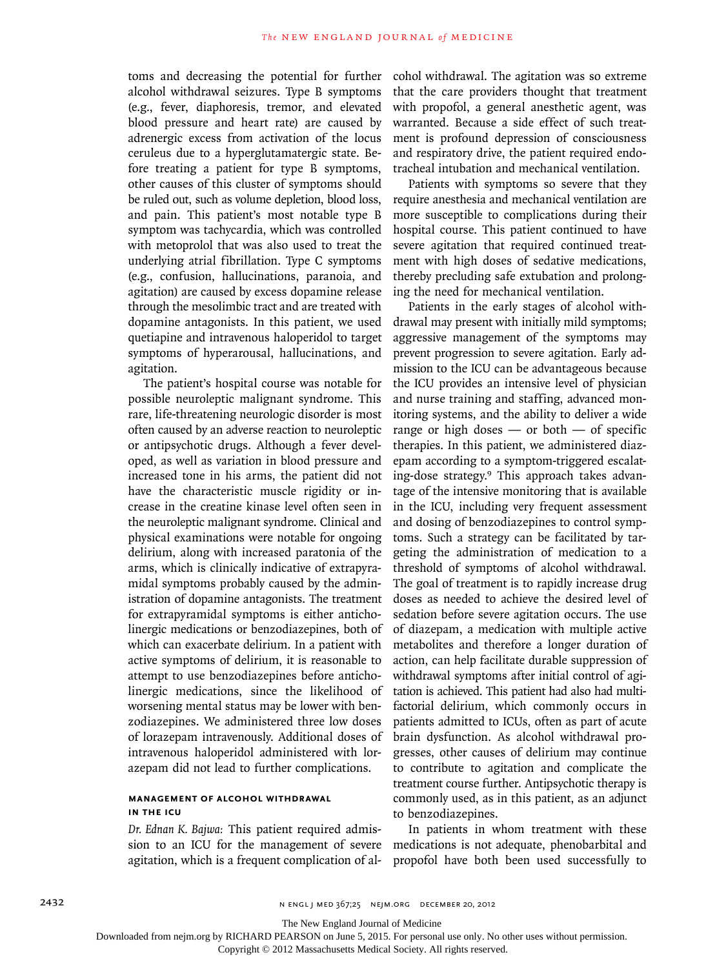toms and decreasing the potential for further alcohol withdrawal seizures. Type B symptoms (e.g., fever, diaphoresis, tremor, and elevated blood pressure and heart rate) are caused by adrenergic excess from activation of the locus ceruleus due to a hyperglutamatergic state. Before treating a patient for type B symptoms, other causes of this cluster of symptoms should be ruled out, such as volume depletion, blood loss, and pain. This patient's most notable type B symptom was tachycardia, which was controlled with metoprolol that was also used to treat the underlying atrial fibrillation. Type C symptoms (e.g., confusion, hallucinations, paranoia, and agitation) are caused by excess dopamine release through the mesolimbic tract and are treated with dopamine antagonists. In this patient, we used quetiapine and intravenous haloperidol to target symptoms of hyperarousal, hallucinations, and agitation.

The patient's hospital course was notable for possible neuroleptic malignant syndrome. This rare, life-threatening neurologic disorder is most often caused by an adverse reaction to neuroleptic or antipsychotic drugs. Although a fever developed, as well as variation in blood pressure and increased tone in his arms, the patient did not have the characteristic muscle rigidity or increase in the creatine kinase level often seen in the neuroleptic malignant syndrome. Clinical and physical examinations were notable for ongoing delirium, along with increased paratonia of the arms, which is clinically indicative of extrapyramidal symptoms probably caused by the administration of dopamine antagonists. The treatment for extrapyramidal symptoms is either anticholinergic medications or benzodiazepines, both of which can exacerbate delirium. In a patient with active symptoms of delirium, it is reasonable to attempt to use benzodiazepines before anticholinergic medications, since the likelihood of worsening mental status may be lower with benzodiazepines. We administered three low doses of lorazepam intravenously. Additional doses of intravenous haloperidol administered with lorazepam did not lead to further complications.

## **Management of Alcohol Withdrawal in the ICU**

*Dr. Ednan K. Bajwa:* This patient required admission to an ICU for the management of severe agitation, which is a frequent complication of alcohol withdrawal. The agitation was so extreme that the care providers thought that treatment with propofol, a general anesthetic agent, was warranted. Because a side effect of such treatment is profound depression of consciousness and respiratory drive, the patient required endotracheal intubation and mechanical ventilation.

Patients with symptoms so severe that they require anesthesia and mechanical ventilation are more susceptible to complications during their hospital course. This patient continued to have severe agitation that required continued treatment with high doses of sedative medications, thereby precluding safe extubation and prolonging the need for mechanical ventilation.

Patients in the early stages of alcohol withdrawal may present with initially mild symptoms; aggressive management of the symptoms may prevent progression to severe agitation. Early admission to the ICU can be advantageous because the ICU provides an intensive level of physician and nurse training and staffing, advanced monitoring systems, and the ability to deliver a wide range or high doses  $-$  or both  $-$  of specific therapies. In this patient, we administered diazepam according to a symptom-triggered escalating-dose strategy.9 This approach takes advantage of the intensive monitoring that is available in the ICU, including very frequent assessment and dosing of benzodiazepines to control symptoms. Such a strategy can be facilitated by targeting the administration of medication to a threshold of symptoms of alcohol withdrawal. The goal of treatment is to rapidly increase drug doses as needed to achieve the desired level of sedation before severe agitation occurs. The use of diazepam, a medication with multiple active metabolites and therefore a longer duration of action, can help facilitate durable suppression of withdrawal symptoms after initial control of agitation is achieved. This patient had also had multifactorial delirium, which commonly occurs in patients admitted to ICUs, often as part of acute brain dysfunction. As alcohol withdrawal progresses, other causes of delirium may continue to contribute to agitation and complicate the treatment course further. Antipsychotic therapy is commonly used, as in this patient, as an adjunct to benzodiazepines.

In patients in whom treatment with these medications is not adequate, phenobarbital and propofol have both been used successfully to

The New England Journal of Medicine

Downloaded from nejm.org by RICHARD PEARSON on June 5, 2015. For personal use only. No other uses without permission.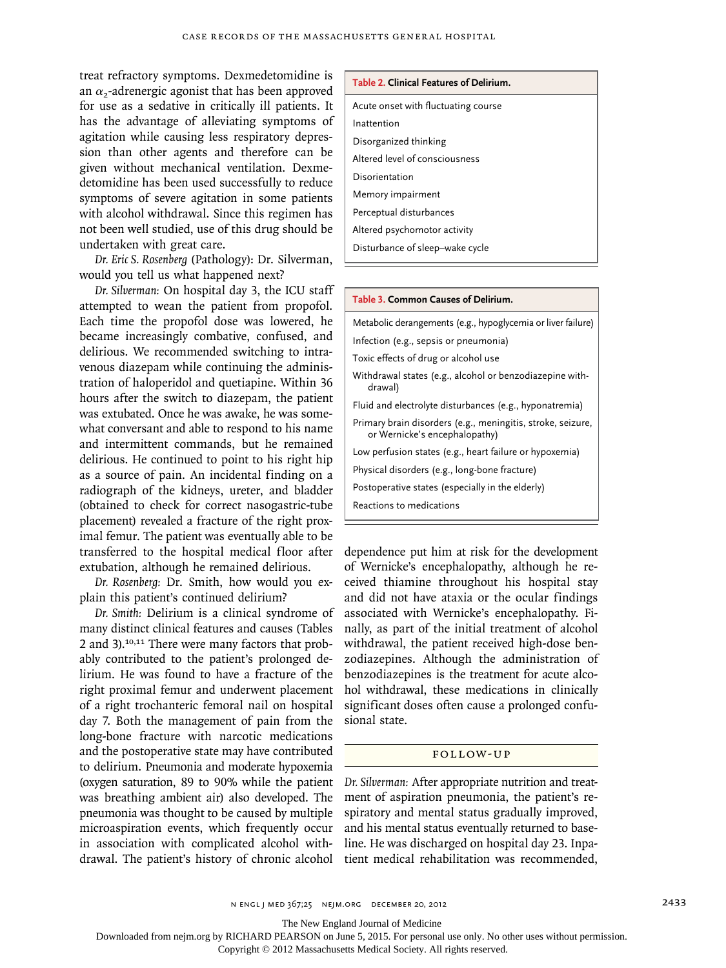treat refractory symptoms. Dexmedetomidine is an  $\alpha$ -adrenergic agonist that has been approved for use as a sedative in critically ill patients. It has the advantage of alleviating symptoms of agitation while causing less respiratory depression than other agents and therefore can be given without mechanical ventilation. Dexmedetomidine has been used successfully to reduce symptoms of severe agitation in some patients with alcohol withdrawal. Since this regimen has not been well studied, use of this drug should be undertaken with great care.

*Dr. Eric S. Rosenberg* (Pathology): Dr. Silverman, would you tell us what happened next?

*Dr. Silverman:* On hospital day 3, the ICU staff attempted to wean the patient from propofol. Each time the propofol dose was lowered, he became increasingly combative, confused, and delirious. We recommended switching to intravenous diazepam while continuing the administration of haloperidol and quetiapine. Within 36 hours after the switch to diazepam, the patient was extubated. Once he was awake, he was somewhat conversant and able to respond to his name and intermittent commands, but he remained delirious. He continued to point to his right hip as a source of pain. An incidental finding on a radiograph of the kidneys, ureter, and bladder (obtained to check for correct nasogastric-tube placement) revealed a fracture of the right proximal femur. The patient was eventually able to be transferred to the hospital medical floor after extubation, although he remained delirious.

*Dr. Rosenberg:* Dr. Smith, how would you explain this patient's continued delirium?

*Dr. Smith:* Delirium is a clinical syndrome of many distinct clinical features and causes (Tables 2 and 3).10,11 There were many factors that probably contributed to the patient's prolonged delirium. He was found to have a fracture of the right proximal femur and underwent placement of a right trochanteric femoral nail on hospital day 7. Both the management of pain from the long-bone fracture with narcotic medications and the postoperative state may have contributed to delirium. Pneumonia and moderate hypoxemia (oxygen saturation, 89 to 90% while the patient was breathing ambient air) also developed. The pneumonia was thought to be caused by multiple microaspiration events, which frequently occur in association with complicated alcohol withdrawal. The patient's history of chronic alcohol

| Table 2. Clinical Features of Delirium. |  |
|-----------------------------------------|--|
| Acute onset with fluctuating course     |  |
| Inattention                             |  |
| Disorganized thinking                   |  |
| Altered level of consciousness          |  |
| Disorientation                          |  |
| Memory impairment                       |  |
| Perceptual disturbances                 |  |
| Altered psychomotor activity            |  |
| Disturbance of sleep-wake cycle         |  |
|                                         |  |

| Table 3. Common Causes of Delirium.                                                          |
|----------------------------------------------------------------------------------------------|
| Metabolic derangements (e.g., hypoglycemia or liver failure)                                 |
| Infection (e.g., sepsis or pneumonia)                                                        |
| Toxic effects of drug or alcohol use                                                         |
| Withdrawal states (e.g., alcohol or benzodiazepine with-<br>drawal)                          |
| Fluid and electrolyte disturbances (e.g., hyponatremia)                                      |
| Primary brain disorders (e.g., meningitis, stroke, seizure,<br>or Wernicke's encephalopathy) |
| Low perfusion states (e.g., heart failure or hypoxemia)                                      |
| Physical disorders (e.g., long-bone fracture)                                                |
| Postoperative states (especially in the elderly)                                             |
| Reactions to medications                                                                     |
|                                                                                              |

dependence put him at risk for the development of Wernicke's encephalopathy, although he received thiamine throughout his hospital stay and did not have ataxia or the ocular findings associated with Wernicke's encephalopathy. Finally, as part of the initial treatment of alcohol withdrawal, the patient received high-dose benzodiazepines. Although the administration of benzodiazepines is the treatment for acute alcohol withdrawal, these medications in clinically significant doses often cause a prolonged confusional state.

#### FOLLOW-UP

*Dr. Silverman:* After appropriate nutrition and treatment of aspiration pneumonia, the patient's respiratory and mental status gradually improved, and his mental status eventually returned to baseline. He was discharged on hospital day 23. Inpatient medical rehabilitation was recommended,

The New England Journal of Medicine

Downloaded from nejm.org by RICHARD PEARSON on June 5, 2015. For personal use only. No other uses without permission.